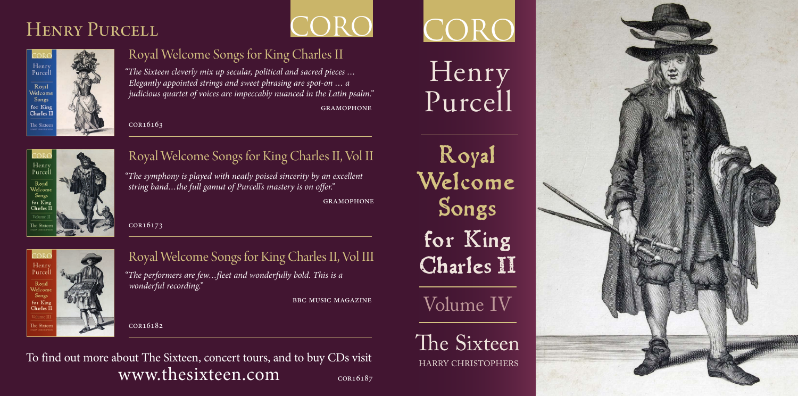## HENRY PURCELL



## Royal Welcome Songs for King Charles II

*"The Sixteen cleverly mix up secular, political and sacred pieces … Elegantly appointed strings and sweet phrasing are spot-on … a judicious quartet of voices are impeccably nuanced in the Latin psalm."*  gramophone

cor16163



## Royal Welcome Songs for King Charles II, Vol II

*"The symphony is played with neatly poised sincerity by an excellent string band…the full gamut of Purcell's mastery is on offer."* 

**GRAMOPHONE** 

**ORO** 

cor16173



## Royal Welcome Songs for King Charles II, Vol III

*"The performers are few…fleet and wonderfully bold. This is a wonderful recording."* 

bbc music magazine

cor16182

#### cor16187 To find out more about The Sixteen, concert tours, and to buy CDs visit www.thesixteen.com

CORO

# Henry Purcell

**Royal Welcome Songs for King Charles II**

Volume IV

The Sixteen

HARRY CHRISTOPHERS

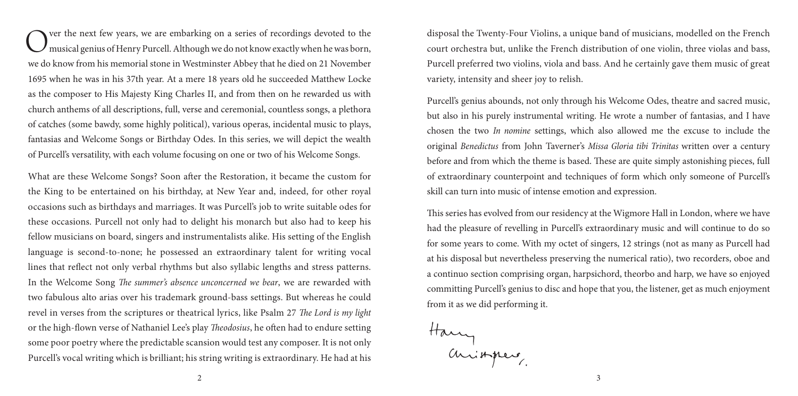Over the next few years, we are embarking on a series of recordings devoted to the musical genius of Henry Purcell. Although we do not know exactly when he was born, we do know from his memorial stone in Westminster Abbey that he died on 21 November 1695 when he was in his 37th year. At a mere 18 years old he succeeded Matthew Locke as the composer to His Majesty King Charles II, and from then on he rewarded us with church anthems of all descriptions, full, verse and ceremonial, countless songs, a plethora of catches (some bawdy, some highly political), various operas, incidental music to plays, fantasias and Welcome Songs or Birthday Odes. In this series, we will depict the wealth of Purcell's versatility, with each volume focusing on one or two of his Welcome Songs.

What are these Welcome Songs? Soon after the Restoration, it became the custom for the King to be entertained on his birthday, at New Year and, indeed, for other royal occasions such as birthdays and marriages. It was Purcell's job to write suitable odes for these occasions. Purcell not only had to delight his monarch but also had to keep his fellow musicians on board, singers and instrumentalists alike. His setting of the English language is second-to-none; he possessed an extraordinary talent for writing vocal lines that reflect not only verbal rhythms but also syllabic lengths and stress patterns. In the Welcome Song *The summer's absence unconcerned we bear*, we are rewarded with two fabulous alto arias over his trademark ground-bass settings. But whereas he could revel in verses from the scriptures or theatrical lyrics, like Psalm 27 *The Lord is my light* or the high-flown verse of Nathaniel Lee's play *Theodosius*, he often had to endure setting some poor poetry where the predictable scansion would test any composer. It is not only Purcell's vocal writing which is brilliant; his string writing is extraordinary. He had at his disposal the Twenty-Four Violins, a unique band of musicians, modelled on the French court orchestra but, unlike the French distribution of one violin, three violas and bass, Purcell preferred two violins, viola and bass. And he certainly gave them music of great variety, intensity and sheer joy to relish.

Purcell's genius abounds, not only through his Welcome Odes, theatre and sacred music, but also in his purely instrumental writing. He wrote a number of fantasias, and I have chosen the two *In nomine* settings, which also allowed me the excuse to include the original *Benedictus* from John Taverner's *Missa Gloria tibi Trinitas* written over a century before and from which the theme is based. These are quite simply astonishing pieces, full of extraordinary counterpoint and techniques of form which only someone of Purcell's skill can turn into music of intense emotion and expression.

This series has evolved from our residency at the Wigmore Hall in London, where we have had the pleasure of revelling in Purcell's extraordinary music and will continue to do so for some years to come. With my octet of singers, 12 strings (not as many as Purcell had at his disposal but nevertheless preserving the numerical ratio), two recorders, oboe and a continuo section comprising organ, harpsichord, theorbo and harp, we have so enjoyed committing Purcell's genius to disc and hope that you, the listener, get as much enjoyment from it as we did performing it.

Harry<br>animpers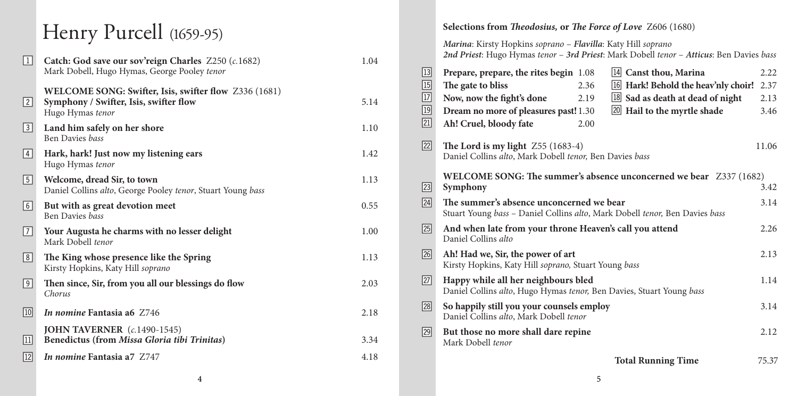| $\Box$              | Catch: God save our sov'reign Charles $Z250$ (c.1682)<br>Mark Dobell, Hugo Hymas, George Pooley tenor               | 1.04 |
|---------------------|---------------------------------------------------------------------------------------------------------------------|------|
| 2                   | WELCOME SONG: Swifter, Isis, swifter flow Z336 (1681)<br>Symphony / Swifter, Isis, swifter flow<br>Hugo Hymas tenor | 5.14 |
| $\lfloor 3 \rfloor$ | Land him safely on her shore<br>Ben Davies bass                                                                     | 1.10 |
| 4                   | Hark, hark! Just now my listening ears<br>Hugo Hymas tenor                                                          | 1.42 |
| $\sqrt{5}$          | Welcome, dread Sir, to town<br>Daniel Collins alto, George Pooley tenor, Stuart Young bass                          | 1.13 |
| $\boxed{6}$         | But with as great devotion meet<br>Ben Davies bass                                                                  | 0.55 |
| $\sqrt{7}$          | Your Augusta he charms with no lesser delight<br>Mark Dobell tenor                                                  | 1.00 |
| $\lfloor 8 \rfloor$ | The King whose presence like the Spring<br>Kirsty Hopkins, Katy Hill soprano                                        | 1.13 |
| 9                   | Then since, Sir, from you all our blessings do flow<br>Chorus                                                       | 2.03 |
| 10                  | <i>In nomine</i> Fantasia a6 Z746                                                                                   | 2.18 |
| $\boxed{11}$        | JOHN TAVERNER $(c.1490-1545)$<br>Benedictus (from Missa Gloria tibi Trinitas)                                       | 3.34 |
| $\overline{12}$     | In nomine Fantasia a7 Z747                                                                                          | 4.18 |

#### **Henry Purcell** (1659-95) **Selections from** *Theodosius,* **or** *The Force of Love 2606* **(1680)** *Marina*: Kirsty Hopkins *soprano* – *Flavilla*: Katy Hill *soprano 2nd Priest*: Hugo Hymas *tenor* – *3rd Priest*: Mark Dobell *tenor* – *Atticus*: Ben Davies *bass* **Prepare, prepare, the rites begin** 1.08 14  $\boxed{15}$  The gate to bliss  $2.36$   $\boxed{16}$  $\boxed{17}$  Now, now the fight's done  $2.19$   $\boxed{18}$ **Dream no more of pleasures past!** 1.30 **20 Ah! Cruel, bloody fate** 2.00 **Canst thou, Marina** 2.22 **Hark! Behold the heav'nly choir!** 2.37 **Sad as death at dead of night** 2.13 **Hail to the myrtle shade** 3.46 **The Lord is my light**  $Z55 (1683-4)$  11.06 Daniel Collins *alto*, Mark Dobell *tenor,* Ben Davies *bass* **WELCOME SONG: The summer's absence unconcerned we bear** Z337 (1682) **Symphony** 3.42 **The summer's absence unconcerned we bear** 3.14 Stuart Young *bass* – Daniel Collins *alto*, Mark Dobell *tenor,* Ben Davies *bass* **And when late from your throne Heaven's call you attend** 2.26 Daniel Collins *alto* **Ah! Had we, Sir, the power of art** 2.13 Kirsty Hopkins, Katy Hill *soprano,* Stuart Young *bass* **Happy while all her neighbours bled** 1.14 Daniel Collins *alto*, Hugo Hymas *tenor,* Ben Davies, Stuart Young *bass* **So happily still you your counsels employ** 3.14 Daniel Collins *alto*, Mark Dobell *tenor* **But those no more shall dare repine** 2.12 Mark Dobell *tenor* **Total Running Time** 75.37  $\boxed{21}$  $\sqrt{22}$  $\sqrt{23}$  $\sqrt{24}$  $\boxed{25}$  $\sqrt{26}$  $\overline{27}$  $\boxed{28}$  $\sqrt{29}$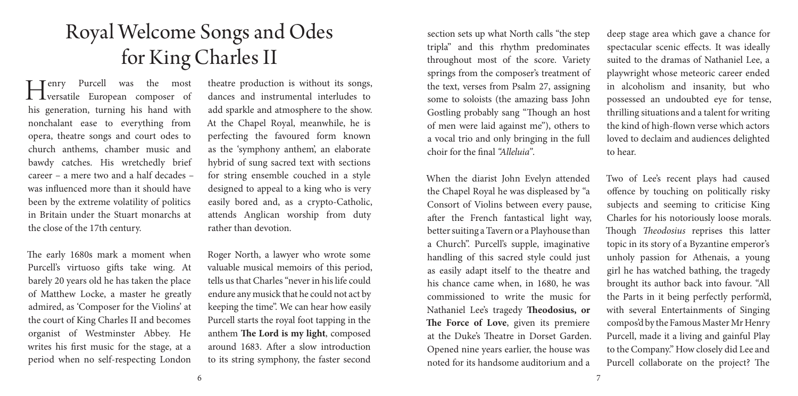# Royal Welcome Songs and Odes for King Charles II

 Henry Purcell was the most versatile European composer of his generation, turning his hand with nonchalant ease to everything from opera, theatre songs and court odes to church anthems, chamber music and bawdy catches. His wretchedly brief career – a mere two and a half decades – was influenced more than it should have been by the extreme volatility of politics in Britain under the Stuart monarchs at the close of the 17th century.

The early 1680s mark a moment when Purcell's virtuoso gifts take wing. At barely 20 years old he has taken the place of Matthew Locke, a master he greatly admired, as 'Composer for the Violins' at the court of King Charles II and becomes organist of Westminster Abbey. He writes his first music for the stage, at a period when no self-respecting London

theatre production is without its songs, dances and instrumental interludes to add sparkle and atmosphere to the show. At the Chapel Royal, meanwhile, he is perfecting the favoured form known as the 'symphony anthem', an elaborate hybrid of sung sacred text with sections for string ensemble couched in a style designed to appeal to a king who is very easily bored and, as a crypto-Catholic, attends Anglican worship from duty rather than devotion.

Roger North, a lawyer who wrote some valuable musical memoirs of this period, tells us that Charles "never in his life could endure any musick that he could not act by keeping the time". We can hear how easily Purcell starts the royal foot tapping in the anthem **The Lord is my light**, composed around 1683. After a slow introduction to its string symphony, the faster second section sets up what North calls "the step tripla" and this rhythm predominates throughout most of the score. Variety springs from the composer's treatment of the text, verses from Psalm 27, assigning some to soloists (the amazing bass John Gostling probably sang "Though an host of men were laid against me"), others to a vocal trio and only bringing in the full choir for the final *"Alleluia"*.

When the diarist John Evelyn attended the Chapel Royal he was displeased by "a Consort of Violins between every pause, after the French fantastical light way, better suiting a Tavern or a Playhouse than a Church". Purcell's supple, imaginative handling of this sacred style could just as easily adapt itself to the theatre and his chance came when, in 1680, he was commissioned to write the music for Nathaniel Lee's tragedy **Theodosius, or The Force of Love**, given its premiere at the Duke's Theatre in Dorset Garden. Opened nine years earlier, the house was noted for its handsome auditorium and a

deep stage area which gave a chance for spectacular scenic effects. It was ideally suited to the dramas of Nathaniel Lee, a playwright whose meteoric career ended in alcoholism and insanity, but who possessed an undoubted eye for tense, thrilling situations and a talent for writing the kind of high-flown verse which actors loved to declaim and audiences delighted to hear.

Two of Lee's recent plays had caused offence by touching on politically risky subjects and seeming to criticise King Charles for his notoriously loose morals. Though *Theodosius* reprises this latter topic in its story of a Byzantine emperor's unholy passion for Athenais, a young girl he has watched bathing, the tragedy brought its author back into favour. "All the Parts in it being perfectly perform'd, with several Entertainments of Singing compos'd by the Famous Master Mr Henry Purcell, made it a living and gainful Play to the Company." How closely did Lee and Purcell collaborate on the project? The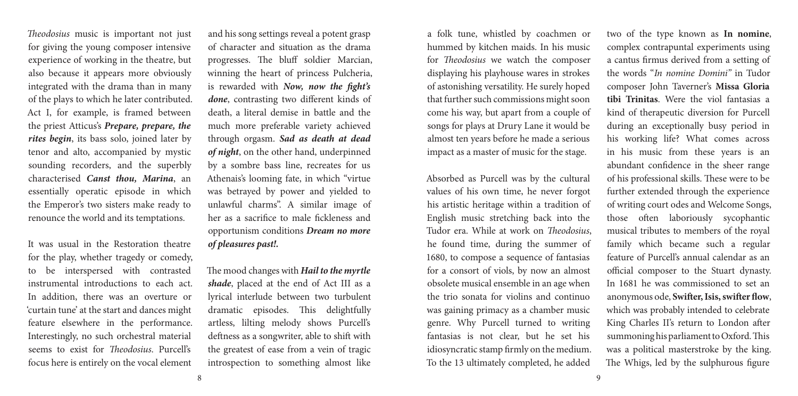*Theodosius* music is important not just for giving the young composer intensive experience of working in the theatre, but also because it appears more obviously integrated with the drama than in many of the plays to which he later contributed. Act I, for example, is framed between the priest Atticus's *Prepare, prepare, the rites begin*, its bass solo, joined later by tenor and alto, accompanied by mystic sounding recorders, and the superbly characterised *Canst thou, Marina*, an essentially operatic episode in which the Emperor's two sisters make ready to renounce the world and its temptations.

It was usual in the Restoration theatre for the play, whether tragedy or comedy, to be interspersed with contrasted instrumental introductions to each act. In addition, there was an overture or 'curtain tune' at the start and dances might feature elsewhere in the performance. Interestingly, no such orchestral material seems to exist for *Theodosius*. Purcell's focus here is entirely on the vocal element

and his song settings reveal a potent grasp of character and situation as the drama progresses. The bluff soldier Marcian, winning the heart of princess Pulcheria, is rewarded with *Now, now the fight's done*, contrasting two different kinds of death, a literal demise in battle and the much more preferable variety achieved through orgasm. *Sad as death at dead of night*, on the other hand, underpinned by a sombre bass line, recreates for us Athenais's looming fate, in which "virtue was betrayed by power and yielded to unlawful charms". A similar image of her as a sacrifice to male fickleness and opportunism conditions *Dream no more of pleasures past!.*

The mood changes with *Hail to the myrtle shade*, placed at the end of Act III as a lyrical interlude between two turbulent dramatic episodes. This delightfully artless, lilting melody shows Purcell's deftness as a songwriter, able to shift with the greatest of ease from a vein of tragic introspection to something almost like a folk tune, whistled by coachmen or hummed by kitchen maids. In his music for *Theodosius* we watch the composer displaying his playhouse wares in strokes of astonishing versatility. He surely hoped that further such commissions might soon come his way, but apart from a couple of songs for plays at Drury Lane it would be almost ten years before he made a serious impact as a master of music for the stage.

Absorbed as Purcell was by the cultural values of his own time, he never forgot his artistic heritage within a tradition of English music stretching back into the Tudor era. While at work on *Theodosius*, he found time, during the summer of 1680, to compose a sequence of fantasias for a consort of viols, by now an almost obsolete musical ensemble in an age when the trio sonata for violins and continuo was gaining primacy as a chamber music genre. Why Purcell turned to writing fantasias is not clear, but he set his idiosyncratic stamp firmly on the medium. To the 13 ultimately completed, he added

two of the type known as **In nomine**, complex contrapuntal experiments using a cantus firmus derived from a setting of the words "*In nomine Domini"* in Tudor composer John Taverner's **Missa Gloria tibi Trinitas**. Were the viol fantasias a kind of therapeutic diversion for Purcell during an exceptionally busy period in his working life? What comes across in his music from these years is an abundant confidence in the sheer range of his professional skills. These were to be further extended through the experience of writing court odes and Welcome Songs, those often laboriously sycophantic musical tributes to members of the royal family which became such a regular feature of Purcell's annual calendar as an official composer to the Stuart dynasty. In 1681 he was commissioned to set an anonymous ode, **Swifter, Isis, swifter flow**, which was probably intended to celebrate King Charles II's return to London after summoning his parliament to Oxford. This was a political masterstroke by the king. The Whigs, led by the sulphurous figure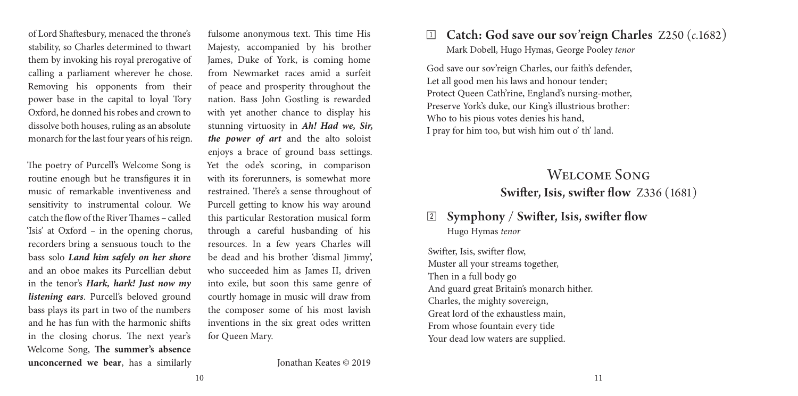of Lord Shaftesbury, menaced the throne's stability, so Charles determined to thwart them by invoking his royal prerogative of calling a parliament wherever he chose. Removing his opponents from their power base in the capital to loyal Tory Oxford, he donned his robes and crown to dissolve both houses, ruling as an absolute monarch for the last four years of his reign.

The poetry of Purcell's Welcome Song is routine enough but he transfigures it in music of remarkable inventiveness and sensitivity to instrumental colour. We catch the flow of the River Thames – called 'Isis' at Oxford – in the opening chorus, recorders bring a sensuous touch to the bass solo *Land him safely on her shore* and an oboe makes its Purcellian debut in the tenor's *Hark, hark! Just now my listening ears*. Purcell's beloved ground bass plays its part in two of the numbers and he has fun with the harmonic shifts in the closing chorus. The next year's Welcome Song, **The summer's absence unconcerned we bear**, has a similarly fulsome anonymous text. This time His Majesty, accompanied by his brother James, Duke of York, is coming home from Newmarket races amid a surfeit of peace and prosperity throughout the nation. Bass John Gostling is rewarded with yet another chance to display his stunning virtuosity in *Ah! Had we, Sir, the power of art* and the alto soloist enjoys a brace of ground bass settings. Yet the ode's scoring, in comparison with its forerunners, is somewhat more restrained. There's a sense throughout of Purcell getting to know his way around this particular Restoration musical form through a careful husbanding of his resources. In a few years Charles will be dead and his brother 'dismal Jimmy', who succeeded him as James II, driven into exile, but soon this same genre of courtly homage in music will draw from the composer some of his most lavish inventions in the six great odes written for Queen Mary.

Jonathan Keates © 2019

## 1 Catch: God save our sov'reign Charles Z250 (*c*.1682)

Mark Dobell, Hugo Hymas, George Pooley *tenor*

God save our sov'reign Charles, our faith's defender, Let all good men his laws and honour tender; Protect Queen Cath'rine, England's nursing-mother, Preserve York's duke, our King's illustrious brother: Who to his pious votes denies his hand, I pray for him too, but wish him out o' th' land.

## Welcome Song Swifter, Isis, swifter flow Z336 (1681)

## 2 Symphony / Swifter, Isis, swifter flow Hugo Hymas *tenor*

Swifter, Isis, swifter flow, Muster all your streams together, Then in a full body go And guard great Britain's monarch hither. Charles, the mighty sovereign, Great lord of the exhaustless main, From whose fountain every tide Your dead low waters are supplied.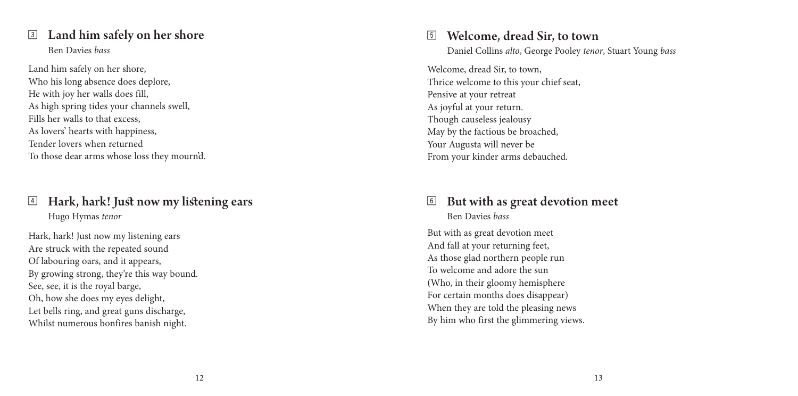#### 3 Land him safely on her shore Ben Davies *bass*

Land him safely on her shore, Who his long absence does deplore, He with joy her walls does fill, As high spring tides your channels swell, Fills her walls to that excess, As lovers' hearts with happiness, Tender lovers when returned To those dear arms whose loss they mourn'd.

#### 4 Hark, hark! Just now my listening ears Hugo Hymas *tenor*

Hark, hark! Just now my listening ears Are struck with the repeated sound Of labouring oars, and it appears, By growing strong, they're this way bound. See, see, it is the royal barge, Oh, how she does my eyes delight, Let bells ring, and great guns discharge, Whilst numerous bonfires banish night.

## 5 Welcome, dread Sir, to town

Daniel Collins *alto*, George Pooley *tenor*, Stuart Young *bass*

Welcome, dread Sir, to town, Thrice welcome to this your chief seat, Pensive at your retreat As joyful at your return. Though causeless jealousy May by the factious be broached, Your Augusta will never be From your kinder arms debauched.

## 6 But with as great devotion meet Ben Davies *bass*

But with as great devotion meet And fall at your returning feet, As those glad northern people run To welcome and adore the sun (Who, in their gloomy hemisphere For certain months does disappear) When they are told the pleasing news By him who first the glimmering views.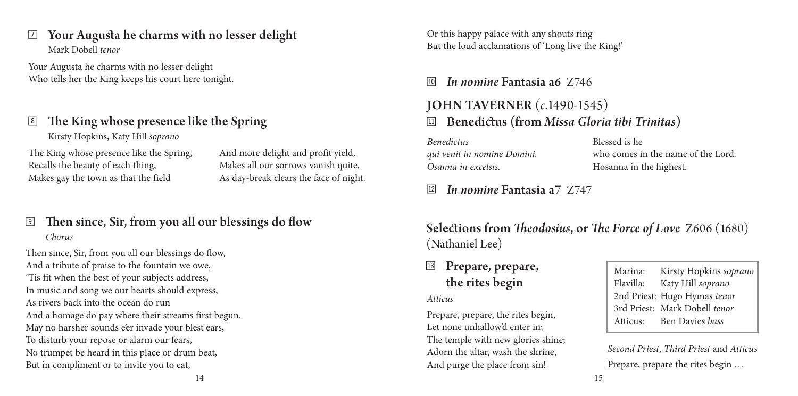### $\mathbb{Z}$  Your Augusta he charms with no lesser delight Mark Dobell *tenor*

Your Augusta he charms with no lesser delight Who tells her the King keeps his court here tonight.

## 8 The King whose presence like the Spring

Kirsty Hopkins, Katy Hill *soprano*

The King whose presence like the Spring, Recalls the beauty of each thing, Makes gay the town as that the field

And more delight and profit yield, Makes all our sorrows vanish quite, As day-break clears the face of night.

## 9 Then since, Sir, from you all our blessings do flow *Chorus*

Then since, Sir, from you all our blessings do flow, And a tribute of praise to the fountain we owe, 'Tis fit when the best of your subjects address, In music and song we our hearts should express, As rivers back into the ocean do run And a homage do pay where their streams first begun. May no harsher sounds e'er invade your blest ears, To disturb your repose or alarm our fears, No trumpet be heard in this place or drum beat, But in compliment or to invite you to eat,

Or this happy palace with any shouts ring But the loud acclamations of 'Long live the King!'

## **10** *In nomine* Fantasia a6 Z746

## $\mathbb{E}$  Benedictus (from *Missa Gloria tibi Trinitas*) JOHN TAVERNER (*c*.1490-1545)

*Benedictus qui venit in nomine Domini. Osanna in excelsis.* 

Blessed is he who comes in the name of the Lord. Hosanna in the highest.

## bn *In nomine* Fantasia a7 Z747

Selections from *Theodosius*, or *The Force of Love* Z606 (1680) (Nathaniel Lee)

## Prepare, prepare, the rites begin

*Atticus* 

Prepare, prepare, the rites begin, Let none unhallow'd enter in; The temple with new glories shine; Adorn the altar, wash the shrine, And purge the place from sin!

Marina: Kirsty Hopkins *soprano* Flavilla: Katy Hill *soprano* 2nd Priest: Hugo Hymas *tenor* 3rd Priest: Mark Dobell *tenor* Atticus: Ben Davies *bass*

*Second Priest*, *Third Priest* and *Atticus*  Prepare, prepare the rites begin …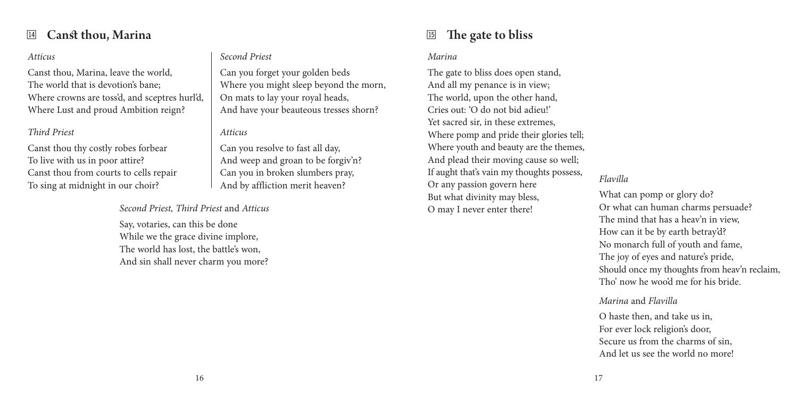## **14** Canst thou, Marina

#### *Atticus*

Canst thou, Marina, leave the world, The world that is devotion's bane; Where crowns are toss'd, and sceptres hurl'd, Where Lust and proud Ambition reign?

#### *Third Priest*

Canst thou thy costly robes forbear To live with us in poor attire? Canst thou from courts to cells repair To sing at midnight in our choir?

#### *Second Priest, Third Priest* and *Atticus*

Say, votaries, can this be done While we the grace divine implore, The world has lost, the battle's won, And sin shall never charm you more?

#### *Second Priest*

Can you forget your golden beds Where you might sleep beyond the morn, On mats to lay your royal heads, And have your beauteous tresses shorn?

#### *Atticus*

Can you resolve to fast all day, And weep and groan to be forgiv'n? Can you in broken slumbers pray, And by affliction merit heaven?

## $\boxed{15}$  The gate to bliss

#### *Marina*

The gate to bliss does open stand, And all my penance is in view; The world, upon the other hand, Cries out: 'O do not bid adieu!' Yet sacred sir, in these extremes, Where pomp and pride their glories tell; Where youth and beauty are the themes, And plead their moving cause so well; If aught that's vain my thoughts possess, Or any passion govern here But what divinity may bless, O may I never enter there!

#### *Flavilla*

What can pomp or glory do? Or what can human charms persuade? The mind that has a heav'n in view, How can it be by earth betray'd? No monarch full of youth and fame, The joy of eyes and nature's pride, Should once my thoughts from heav'n reclaim, Tho' now he woo'd me for his bride.

#### *Marina* and *Flavilla*

O haste then, and take us in, For ever lock religion's door, Secure us from the charms of sin, And let us see the world no more!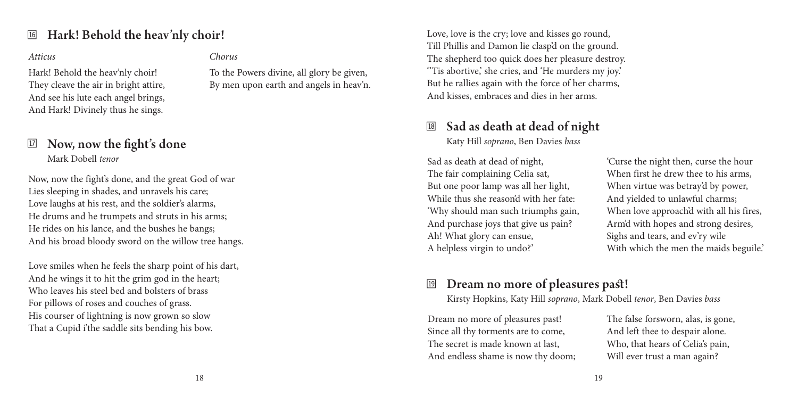## <sup>16</sup> Hark! Behold the heav'nly choir!

#### *Atticus*

Hark! Behold the heav'nly choir! They cleave the air in bright attire, And see his lute each angel brings, And Hark! Divinely thus he sings.

## $\mathbb{E}$  Now, now the fight's done Mark Dobell *tenor*

Now, now the fight's done, and the great God of war Lies sleeping in shades, and unravels his care; Love laughs at his rest, and the soldier's alarms, He drums and he trumpets and struts in his arms; He rides on his lance, and the bushes he bangs; And his broad bloody sword on the willow tree hangs.

Love smiles when he feels the sharp point of his dart, And he wings it to hit the grim god in the heart; Who leaves his steel bed and bolsters of brass For pillows of roses and couches of grass. His courser of lightning is now grown so slow That a Cupid i'the saddle sits bending his bow.

*Chorus*

To the Powers divine, all glory be given, By men upon earth and angels in heav'n.

## $18$  Sad as death at dead of night

Love, love is the cry; love and kisses go round, Till Phillis and Damon lie clasp'd on the ground. The shepherd too quick does her pleasure destroy. ''Tis abortive,' she cries, and 'He murders my joy.' But he rallies again with the force of her charms, And kisses, embraces and dies in her arms.

Katy Hill *soprano*, Ben Davies *bass*

Sad as death at dead of night, The fair complaining Celia sat, But one poor lamp was all her light, While thus she reason'd with her fate: 'Why should man such triumphs gain, And purchase joys that give us pain? Ah! What glory can ensue, A helpless virgin to undo?'

'Curse the night then, curse the hour When first he drew thee to his arms, When virtue was betray'd by power, And yielded to unlawful charms; When love approach'd with all his fires, Arm'd with hopes and strong desires, Sighs and tears, and ev'ry wile With which the men the maids beguile.'

## Dream no more of pleasures past!

Kirsty Hopkins, Katy Hill *soprano*, Mark Dobell *tenor*, Ben Davies *bass*

Dream no more of pleasures past! Since all thy torments are to come, The secret is made known at last, And endless shame is now thy doom; The false forsworn, alas, is gone, And left thee to despair alone. Who, that hears of Celia's pain, Will ever trust a man again?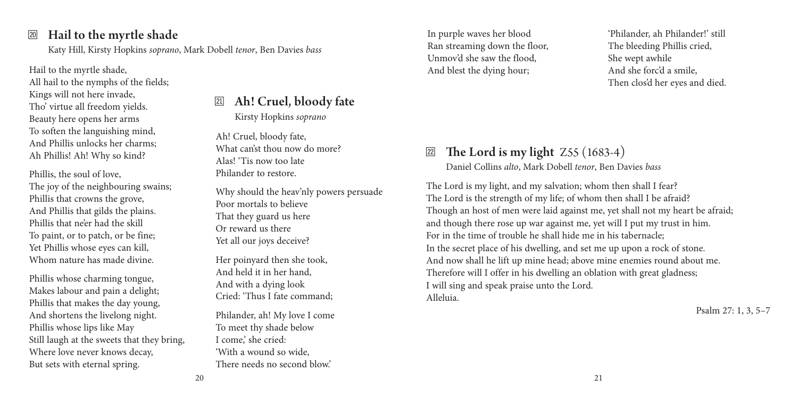## $\mathbb{Z}$  Hail to the myrtle shade

Katy Hill, Kirsty Hopkins *soprano*, Mark Dobell *tenor*, Ben Davies *bass*

Hail to the myrtle shade, All hail to the nymphs of the fields; Kings will not here invade, Tho' virtue all freedom yields. Beauty here opens her arms To soften the languishing mind, And Phillis unlocks her charms; Ah Phillis! Ah! Why so kind?

Phillis, the soul of love, The joy of the neighbouring swains; Phillis that crowns the grove, And Phillis that gilds the plains. Phillis that ne'er had the skill To paint, or to patch, or be fine; Yet Phillis whose eyes can kill, Whom nature has made divine.

Phillis whose charming tongue, Makes labour and pain a delight; Phillis that makes the day young, And shortens the livelong night. Phillis whose lips like May Still laugh at the sweets that they bring, Where love never knows decay, But sets with eternal spring.

cm Ah! Cruel, bloody fate Kirsty Hopkins *soprano*

Ah! Cruel, bloody fate, What can'st thou now do more? Alas! 'Tis now too late Philander to restore.

Why should the heav'nly powers persuade Poor mortals to believe That they guard us here Or reward us there Yet all our joys deceive?

Her poinyard then she took, And held it in her hand, And with a dying look Cried: 'Thus I fate command;

Philander, ah! My love I come To meet thy shade below I come,' she cried: 'With a wound so wide, There needs no second blow<sup>'</sup>

In purple waves her blood Ran streaming down the floor, Unmov'd she saw the flood, And blest the dying hour;

'Philander, ah Philander!' still The bleeding Phillis cried, She wept awhile And she forc'd a smile, Then clos'd her eyes and died.

## $\mathbb{Z}$  The Lord is my light Z55 (1683-4)

Daniel Collins *alto*, Mark Dobell *tenor*, Ben Davies *bass*

The Lord is my light, and my salvation; whom then shall I fear? The Lord is the strength of my life; of whom then shall I be afraid? Though an host of men were laid against me, yet shall not my heart be afraid; and though there rose up war against me, yet will I put my trust in him. For in the time of trouble he shall hide me in his tabernacle; In the secret place of his dwelling, and set me up upon a rock of stone. And now shall he lift up mine head; above mine enemies round about me. Therefore will I offer in his dwelling an oblation with great gladness; I will sing and speak praise unto the Lord. Alleluia.

Psalm 27: 1, 3, 5–7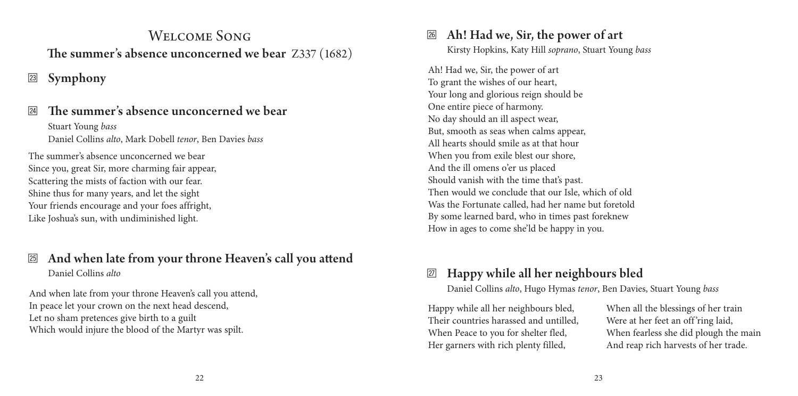## Welcome Song The summer's absence unconcerned we bear Z337 (1682)

## <sup>23</sup> Symphony

#### cp The summer's absence unconcerned we bear Stuart Young *bass*

Daniel Collins *alto*, Mark Dobell *tenor*, Ben Davies *bass*

The summer's absence unconcerned we bear Since you, great Sir, more charming fair appear, Scattering the mists of faction with our fear. Shine thus for many years, and let the sight Your friends encourage and your foes affright, Like Joshua's sun, with undiminished light.

## <sup>25</sup> And when late from your throne Heaven's call you attend Daniel Collins *alto*

And when late from your throne Heaven's call you attend, In peace let your crown on the next head descend, Let no sham pretences give birth to a guilt Which would injure the blood of the Martyr was spilt.

## <sup>26</sup> Ah! Had we, Sir, the power of art

Kirsty Hopkins, Katy Hill *soprano*, Stuart Young *bass*

Ah! Had we, Sir, the power of art To grant the wishes of our heart, Your long and glorious reign should be One entire piece of harmony. No day should an ill aspect wear, But, smooth as seas when calms appear, All hearts should smile as at that hour When you from exile blest our shore, And the ill omens o'er us placed Should vanish with the time that's past. Then would we conclude that our Isle, which of old Was the Fortunate called, had her name but foretold By some learned bard, who in times past foreknew How in ages to come she'ld be happy in you.

## $\mathbb{Z}$  Happy while all her neighbours bled

Daniel Collins *alto*, Hugo Hymas *tenor*, Ben Davies, Stuart Young *bass*

Happy while all her neighbours bled, Their countries harassed and untilled, When Peace to you for shelter fled, Her garners with rich plenty filled,

When all the blessings of her train Were at her feet an off'ring laid, When fearless she did plough the main And reap rich harvests of her trade.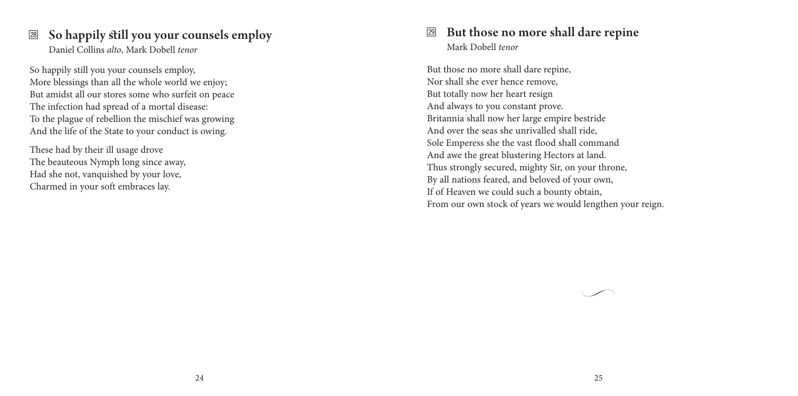#### $\boxtimes$  So happily still you your counsels employ Daniel Collins *alto*, Mark Dobell *tenor*

So happily still you your counsels employ, More blessings than all the whole world we enjoy; But amidst all our stores some who surfeit on peace The infection had spread of a mortal disease: To the plague of rebellion the mischief was growing And the life of the State to your conduct is owing.

These had by their ill usage drove The beauteous Nymph long since away, Had she not, vanquished by your love, Charmed in your soft embraces lay.

## $\mathbb{E}$  But those no more shall dare repine Mark Dobell *tenor*

But those no more shall dare repine, Nor shall she ever hence remove, But totally now her heart resign And always to you constant prove. Britannia shall now her large empire bestride And over the seas she unrivalled shall ride, Sole Emperess she the vast flood shall command And awe the great blustering Hectors at land. Thus strongly secured, mighty Sir, on your throne, By all nations feared, and beloved of your own, If of Heaven we could such a bounty obtain, From our own stock of years we would lengthen your reign.

*•*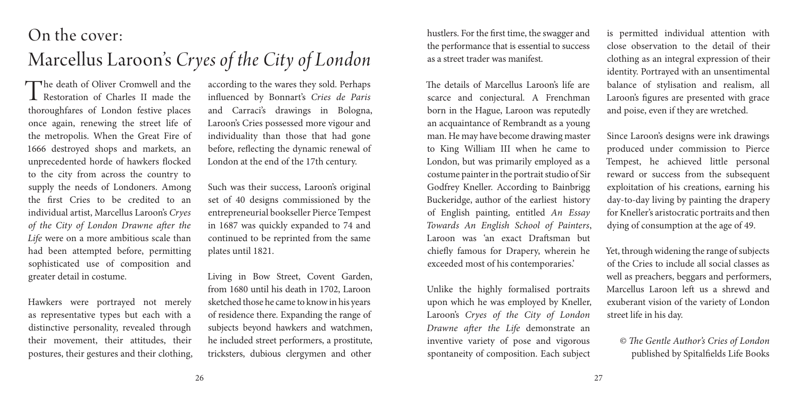## On the cover:

# Marcellus Laroon's *Cryes of the City of London*

The death of Oliver Cromwell and the Restoration of Charles II made the thoroughfares of London festive places once again, renewing the street life of the metropolis. When the Great Fire of 1666 destroyed shops and markets, an unprecedented horde of hawkers flocked to the city from across the country to supply the needs of Londoners. Among the first Cries to be credited to an individual artist, Marcellus Laroon's *Cryes of the City of London Drawne after the Life* were on a more ambitious scale than had been attempted before, permitting sophisticated use of composition and greater detail in costume.

Hawkers were portrayed not merely as representative types but each with a distinctive personality, revealed through their movement, their attitudes, their postures, their gestures and their clothing, according to the wares they sold. Perhaps influenced by Bonnart's *Cries de Paris*  and Carraci's drawings in Bologna, Laroon's Cries possessed more vigour and individuality than those that had gone before, reflecting the dynamic renewal of London at the end of the 17th century.

Such was their success, Laroon's original set of 40 designs commissioned by the entrepreneurial bookseller Pierce Tempest in 1687 was quickly expanded to 74 and continued to be reprinted from the same plates until 1821.

Living in Bow Street, Covent Garden, from 1680 until his death in 1702, Laroon sketched those he came to know in his years of residence there. Expanding the range of subjects beyond hawkers and watchmen, he included street performers, a prostitute, tricksters, dubious clergymen and other

hustlers. For the first time, the swagger and the performance that is essential to success as a street trader was manifest.

The details of Marcellus Laroon's life are scarce and conjectural. A Frenchman born in the Hague, Laroon was reputedly an acquaintance of Rembrandt as a young man. He may have become drawing master to King William III when he came to London, but was primarily employed as a costume painter in the portrait studio of Sir Godfrey Kneller. According to Bainbrigg Buckeridge, author of the earliest history of English painting, entitled *An Essay Towards An English School of Painters*, Laroon was 'an exact Draftsman but chiefly famous for Drapery, wherein he exceeded most of his contemporaries.'

Unlike the highly formalised portraits upon which he was employed by Kneller, Laroon's *Cryes of the City of London Drawne after the Life* demonstrate an inventive variety of pose and vigorous spontaneity of composition. Each subject

is permitted individual attention with close observation to the detail of their clothing as an integral expression of their identity. Portrayed with an unsentimental balance of stylisation and realism, all Laroon's figures are presented with grace and poise, even if they are wretched.

Since Laroon's designs were ink drawings produced under commission to Pierce Tempest, he achieved little personal reward or success from the subsequent exploitation of his creations, earning his day-to-day living by painting the drapery for Kneller's aristocratic portraits and then dying of consumption at the age of 49.

Yet, through widening the range of subjects of the Cries to include all social classes as well as preachers, beggars and performers, Marcellus Laroon left us a shrewd and exuberant vision of the variety of London street life in his day.

© *The Gentle Author's Cries of London* published by Spitalfields Life Books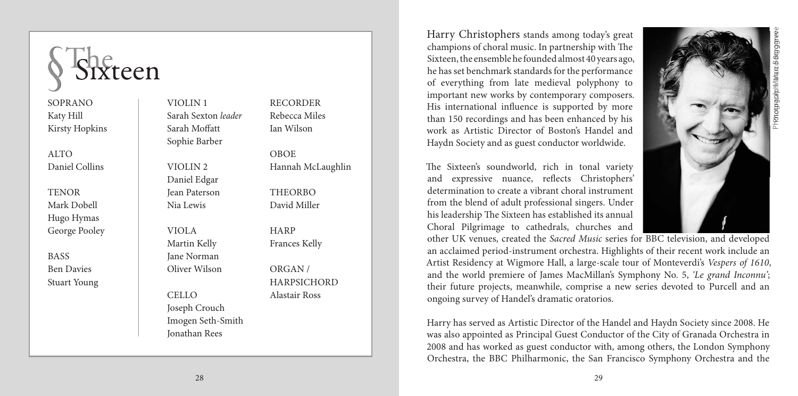

# teen

SOPRANO Katy Hill Kirsty Hopkins

ALTO Daniel Collins

**TENOR** Mark Dobell Hugo Hymas George Pooley

BASS Ben Davies Stuart Young VIOLIN 1 Sarah Sexton *leader* Sarah Moffatt Sophie Barber

VIOLIN 2 Daniel Edgar Jean Paterson Nia Lewis

VIOLA Martin Kelly Jane Norman Oliver Wilson

CELLO Joseph Crouch Imogen Seth-Smith Jonathan Rees

28

RECORDER Rebecca Miles Ian Wilson

OBOE Hannah McLaughlin THEORBO David Miller

HARP Frances Kelly

ORGAN / **HARPSICHORD** Alastair Ross

Harry Christophers stands among today's great champions of choral music. In partnership with The Sixteen, the ensemble he founded almost 40 years ago, he has set benchmark standards for the performance of everything from late medieval polyphony to important new works by contemporary composers. His international influence is supported by more than 150 recordings and has been enhanced by his work as Artistic Director of Boston's Handel and Haydn Society and as guest conductor worldwide.

The Sixteen's soundworld, rich in tonal variety and expressive nuance, reflects Christophers' determination to create a vibrant choral instrument from the blend of adult professional singers. Under his leadership The Sixteen has established its annual Choral Pilgrimage to cathedrals, churches and

other UK venues, created the *Sacred Music* series for BBC television, and developed an acclaimed period-instrument orchestra. Highlights of their recent work include an Artist Residency at Wigmore Hall, a large-scale tour of Monteverdi's *Vespers of 1610*, and the world premiere of James MacMillan's Symphony No. 5, *'Le grand Inconnu'*; their future projects, meanwhile, comprise a new series devoted to Purcell and an ongoing survey of Handel's dramatic oratorios.

Harry has served as Artistic Director of the Handel and Haydn Society since 2008. He was also appointed as Principal Guest Conductor of the City of Granada Orchestra in 2008 and has worked as guest conductor with, among others, the London Symphony Orchestra, the BBC Philharmonic, the San Francisco Symphony Orchestra and the